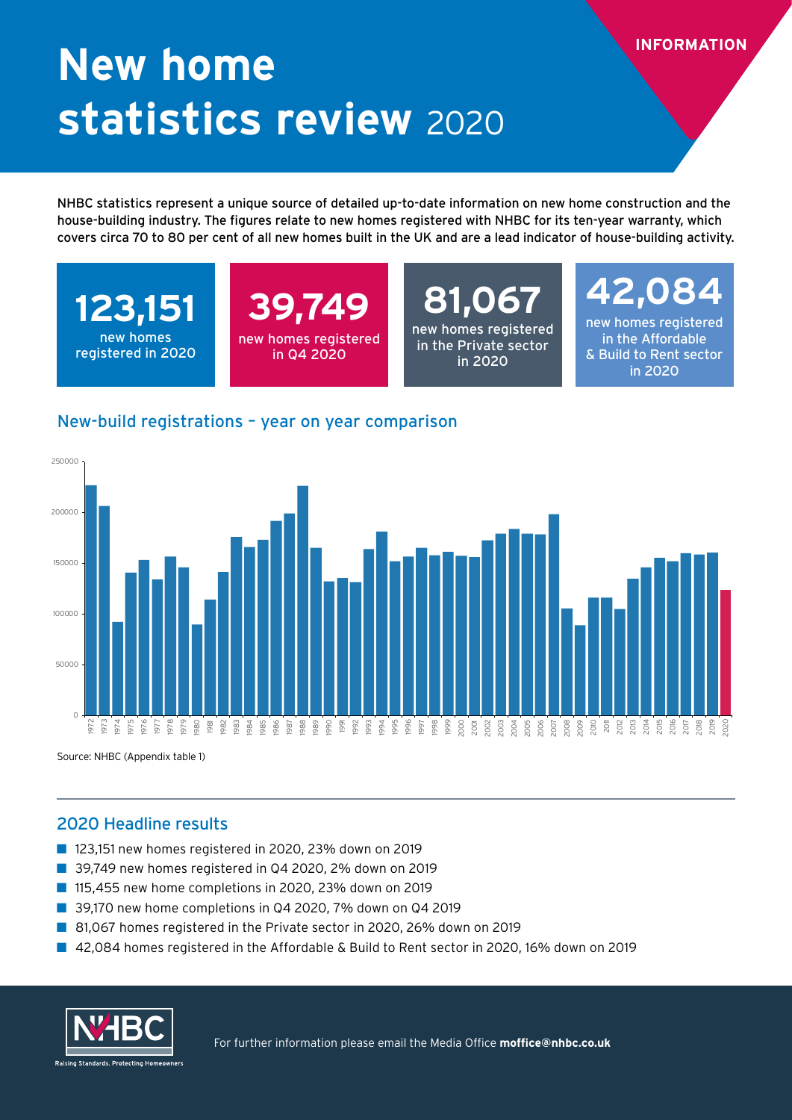# **New home statistics review** 2020

NHBC statistics represent a unique source of detailed up-to-date information on new home construction and the house-building industry. The figures relate to new homes registered with NHBC for its ten-year warranty, which covers circa 70 to 80 per cent of all new homes built in the UK and are a lead indicator of house-building activity.

**123,151** new homes registered in 2020

### **39,749** new homes registered in Q4 2020

**81,067** new homes registered in the Private sector in 2020

### **42,084**

**INFORMATION**

new homes registered in the Affordable & Build to Rent sector in 2020

#### New-build registrations – year on year comparison



Source: NHBC (Appendix table 1)

#### 2020 Headline results

- 123,151 new homes registered in 2020, 23% down on 2019
- 39,749 new homes registered in Q4 2020, 2% down on 2019
- 115,455 new home completions in 2020, 23% down on 2019
- 39,170 new home completions in Q4 2020, 7% down on Q4 2019
- 81,067 homes registered in the Private sector in 2020, 26% down on 2019
- 42,084 homes registered in the Affordable & Build to Rent sector in 2020, 16% down on 2019



For further information please email the Media Office **moffice@nhbc.co.uk**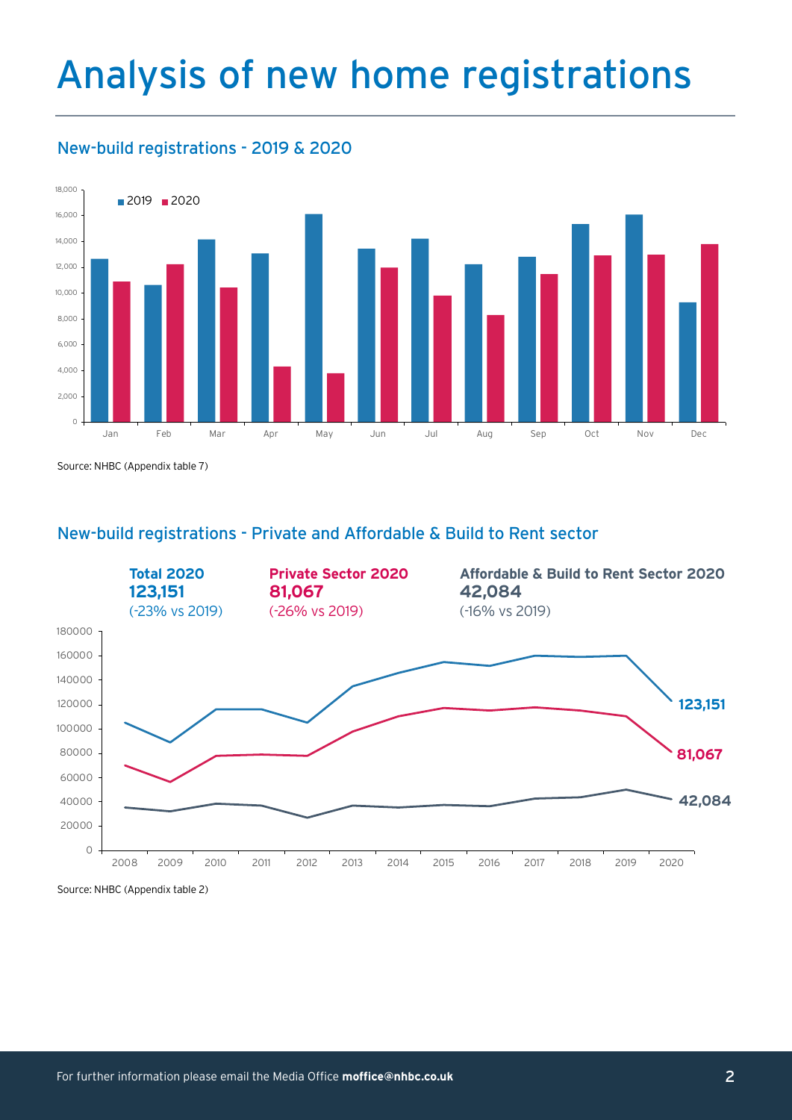## Analysis of new home registrations

### New-build registrations - 2019 & 2020



Source: NHBC (Appendix table 7)

#### New-build registrations - Private and Affordable & Build to Rent sector



Source: NHBC (Appendix table 2)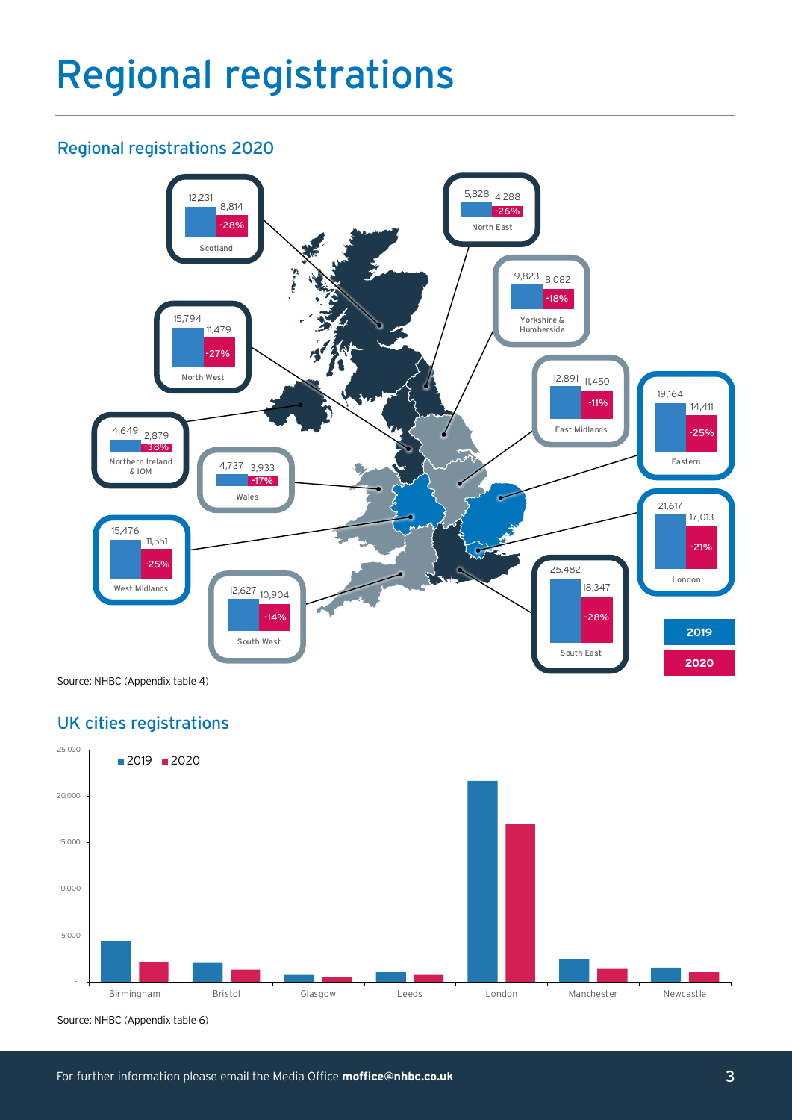## Regional registrations

#### Regional registrations 2020



Source: NHBC (Appendix table 4)

### UK cities registrations



Source: NHBC (Appendix table 6)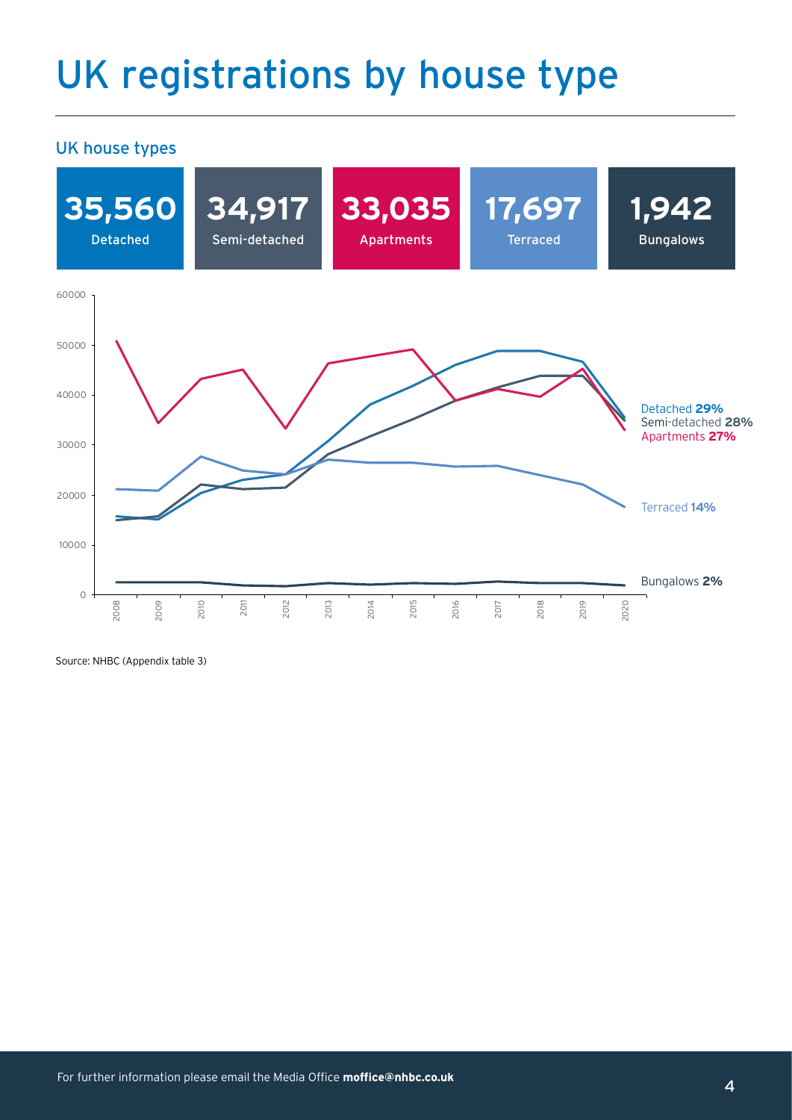## UK registrations by house type

#### UK house types



Source: NHBC (Appendix table 3)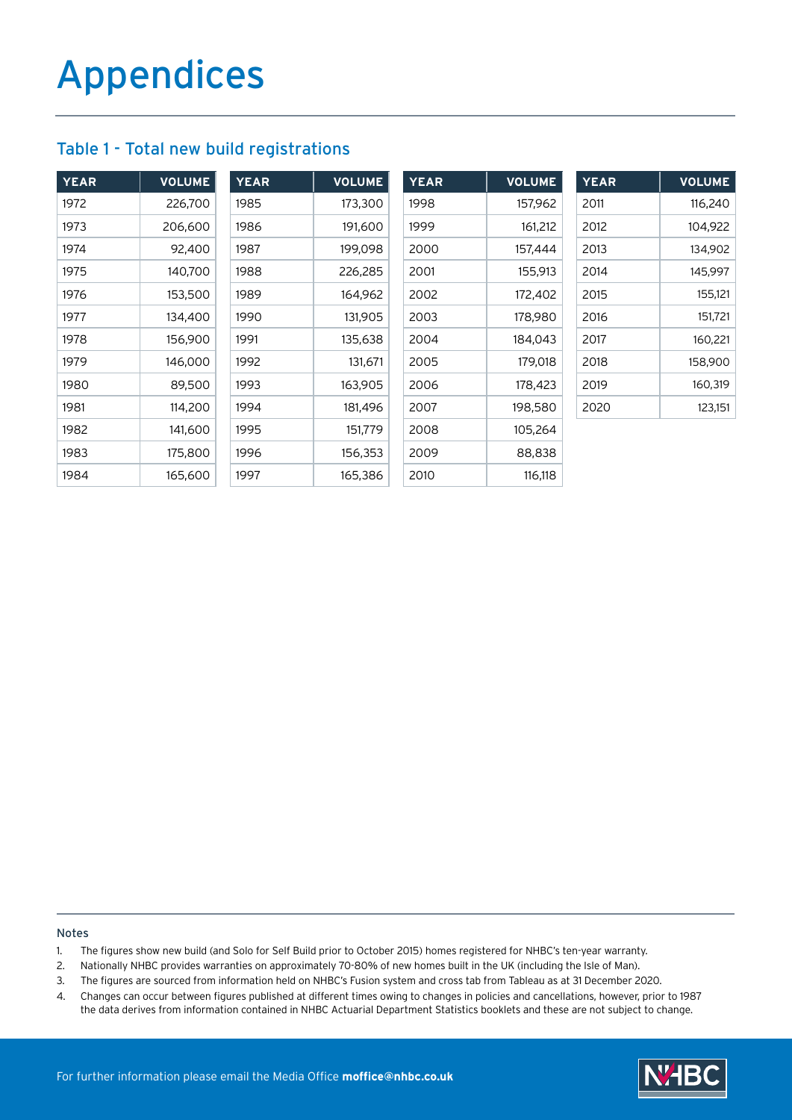#### Table 1 - Total new build registrations

| <b>YEAR</b> | <b>VOLUME</b> | <b>YEAR</b> | <b>VOLUME</b> | <b>YEAR</b> | <b>VOLUME</b> | <b>YEAR</b> | <b>VOLUME</b> |
|-------------|---------------|-------------|---------------|-------------|---------------|-------------|---------------|
| 1972        | 226,700       | 1985        | 173,300       | 1998        | 157,962       | 2011        | 116,240       |
| 1973        | 206,600       | 1986        | 191,600       | 1999        | 161,212       | 2012        | 104,922       |
| 1974        | 92,400        | 1987        | 199,098       | 2000        | 157,444       | 2013        | 134,902       |
| 1975        | 140,700       | 1988        | 226,285       | 2001        | 155,913       | 2014        | 145,997       |
| 1976        | 153,500       | 1989        | 164,962       | 2002        | 172,402       | 2015        | 155,121       |
| 1977        | 134,400       | 1990        | 131,905       | 2003        | 178,980       | 2016        | 151,721       |
| 1978        | 156,900       | 1991        | 135,638       | 2004        | 184,043       | 2017        | 160,221       |
| 1979        | 146,000       | 1992        | 131,671       | 2005        | 179,018       | 2018        | 158,900       |
| 1980        | 89,500        | 1993        | 163,905       | 2006        | 178,423       | 2019        | 160,319       |
| 1981        | 114,200       | 1994        | 181,496       | 2007        | 198,580       | 2020        | 123,151       |
| 1982        | 141,600       | 1995        | 151,779       | 2008        | 105,264       |             |               |
| 1983        | 175,800       | 1996        | 156,353       | 2009        | 88,838        |             |               |
| 1984        | 165,600       | 1997        | 165,386       | 2010        | 116,118       |             |               |

Notes

- 1. The figures show new build (and Solo for Self Build prior to October 2015) homes registered for NHBC's ten-year warranty.
- 2. Nationally NHBC provides warranties on approximately 70-80% of new homes built in the UK (including the Isle of Man).
- 3. The figures are sourced from information held on NHBC's Fusion system and cross tab from Tableau as at 31 December 2020.
- 4. Changes can occur between figures published at different times owing to changes in policies and cancellations, however, prior to 1987 the data derives from information contained in NHBC Actuarial Department Statistics booklets and these are not subject to change.

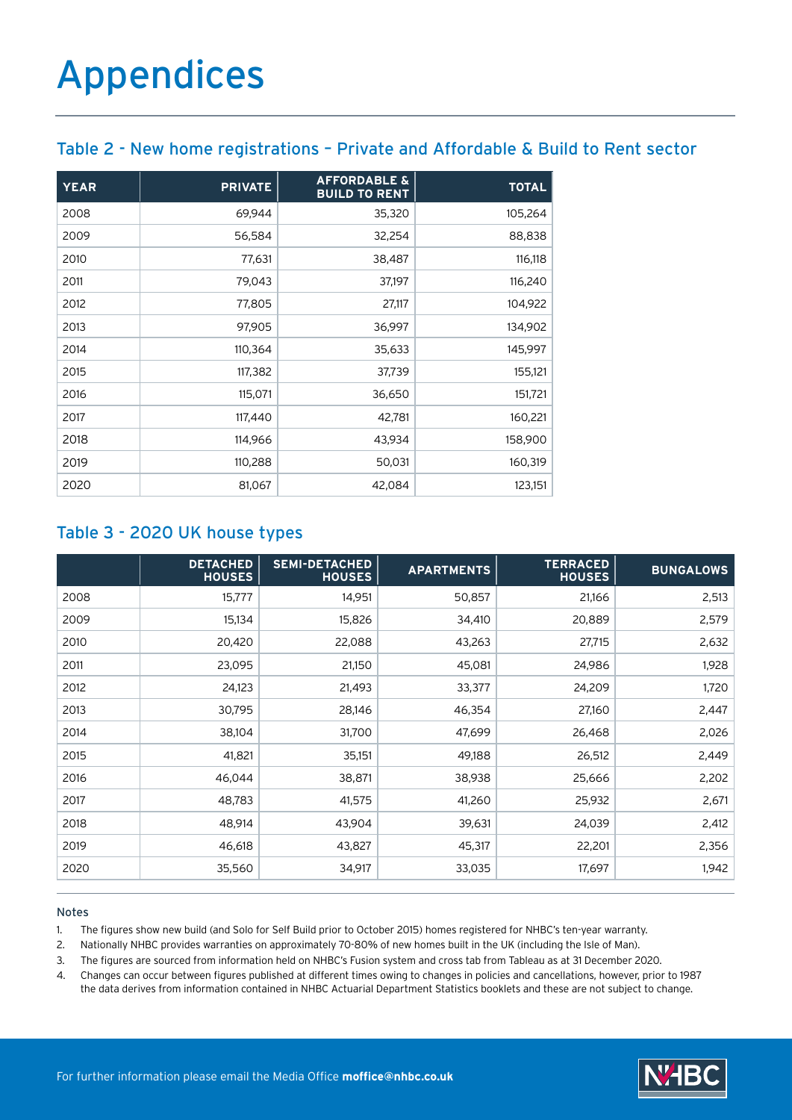#### Table 2 - New home registrations – Private and Affordable & Build to Rent sector

| <b>YEAR</b> | <b>PRIVATE</b> | <b>AFFORDABLE &amp;</b><br><b>BUILD TO RENT</b> | <b>TOTAL</b> |
|-------------|----------------|-------------------------------------------------|--------------|
| 2008        | 69,944         | 35,320                                          | 105,264      |
| 2009        | 56,584         | 32,254                                          | 88,838       |
| 2010        | 77,631         | 38,487                                          | 116,118      |
| 2011        | 79,043         | 37,197                                          | 116,240      |
| 2012        | 77,805         | 27,117                                          | 104,922      |
| 2013        | 97,905         | 36,997                                          | 134,902      |
| 2014        | 110,364        | 35,633                                          | 145,997      |
| 2015        | 117,382        | 37,739                                          | 155,121      |
| 2016        | 115,071        | 36,650                                          | 151,721      |
| 2017        | 117,440        | 42,781                                          | 160,221      |
| 2018        | 114,966        | 43,934                                          | 158,900      |
| 2019        | 110,288        | 50,031                                          | 160,319      |
| 2020        | 81,067         | 42,084                                          | 123,151      |

#### Table 3 - 2020 UK house types

|      | <b>DETACHED</b><br><b>HOUSES</b> | <b>SEMI-DETACHED</b><br><b>HOUSES</b> | <b>APARTMENTS</b> | <b>TERRACED</b><br><b>HOUSES</b> | <b>BUNGALOWS</b> |
|------|----------------------------------|---------------------------------------|-------------------|----------------------------------|------------------|
| 2008 | 15,777                           | 14,951                                | 50,857            | 21,166                           | 2,513            |
| 2009 | 15,134                           | 15,826                                | 34,410            | 20,889                           | 2,579            |
| 2010 | 20,420                           | 22,088                                | 43,263            | 27,715                           | 2,632            |
| 2011 | 23,095                           | 21,150                                | 45,081            | 24,986                           | 1,928            |
| 2012 | 24,123                           | 21,493                                | 33,377            | 24,209                           | 1,720            |
| 2013 | 30,795                           | 28,146                                | 46,354            | 27,160                           | 2,447            |
| 2014 | 38,104                           | 31,700                                | 47,699            | 26,468                           | 2,026            |
| 2015 | 41,821                           | 35,151                                | 49,188            | 26,512                           | 2,449            |
| 2016 | 46,044                           | 38,871                                | 38,938            | 25,666                           | 2,202            |
| 2017 | 48,783                           | 41,575                                | 41,260            | 25,932                           | 2,671            |
| 2018 | 48,914                           | 43,904                                | 39,631            | 24,039                           | 2,412            |
| 2019 | 46,618                           | 43,827                                | 45,317            | 22,201                           | 2,356            |
| 2020 | 35,560                           | 34,917                                | 33,035            | 17,697                           | 1,942            |

#### Notes

1. The figures show new build (and Solo for Self Build prior to October 2015) homes registered for NHBC's ten-year warranty.

2. Nationally NHBC provides warranties on approximately 70-80% of new homes built in the UK (including the Isle of Man).

3. The figures are sourced from information held on NHBC's Fusion system and cross tab from Tableau as at 31 December 2020.

4. Changes can occur between figures published at different times owing to changes in policies and cancellations, however, prior to 1987 the data derives from information contained in NHBC Actuarial Department Statistics booklets and these are not subject to change.

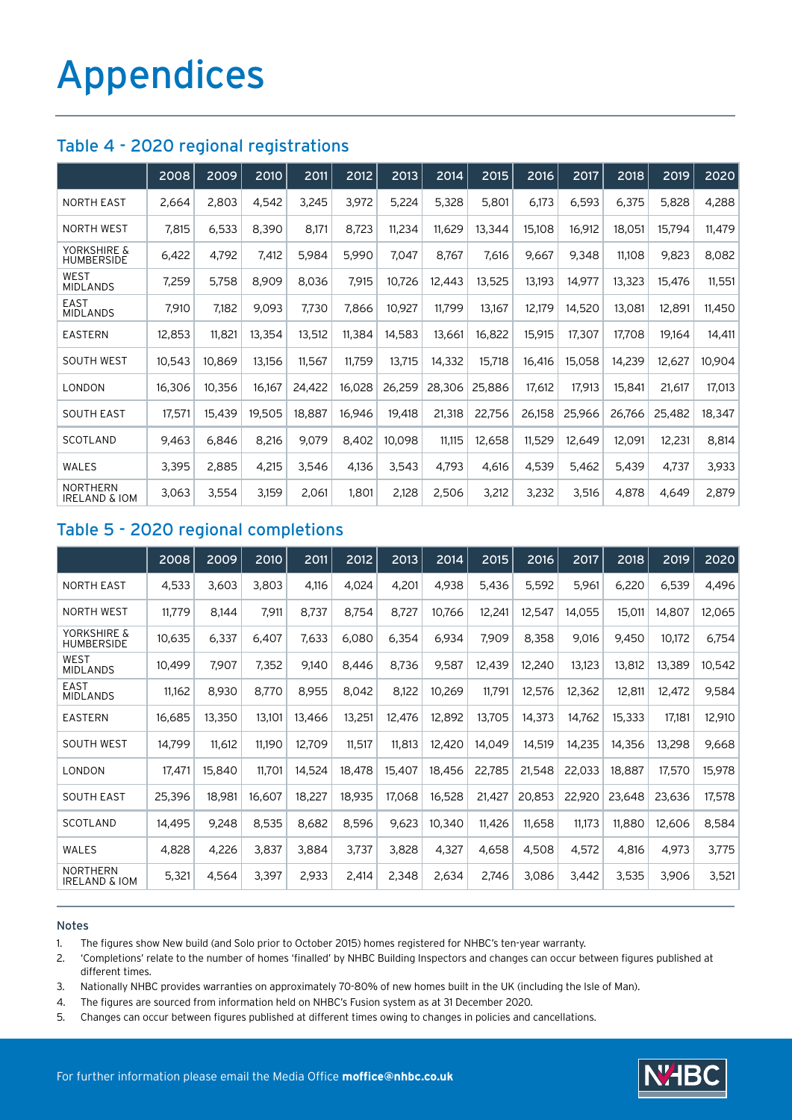#### Table 4 - 2020 regional registrations

|                                             | 2008   | 2009   | 2010   | 2011   | 2012   | 2013   | 2014   | 2015   | 2016   | 2017   | 2018   | 2019   | 2020   |
|---------------------------------------------|--------|--------|--------|--------|--------|--------|--------|--------|--------|--------|--------|--------|--------|
| <b>NORTH EAST</b>                           | 2,664  | 2,803  | 4,542  | 3,245  | 3,972  | 5,224  | 5,328  | 5,801  | 6,173  | 6,593  | 6,375  | 5,828  | 4,288  |
| <b>NORTH WEST</b>                           | 7,815  | 6,533  | 8,390  | 8,171  | 8,723  | 11,234 | 11,629 | 13,344 | 15,108 | 16,912 | 18,051 | 15,794 | 11,479 |
| YORKSHIRE &<br><b>HUMBERSIDE</b>            | 6,422  | 4,792  | 7,412  | 5,984  | 5,990  | 7,047  | 8,767  | 7,616  | 9,667  | 9,348  | 11,108 | 9,823  | 8,082  |
| WEST<br><b>MIDLANDS</b>                     | 7,259  | 5,758  | 8,909  | 8,036  | 7,915  | 10,726 | 12,443 | 13,525 | 13,193 | 14,977 | 13,323 | 15,476 | 11,551 |
| <b>EAST</b><br><b>MIDLANDS</b>              | 7,910  | 7,182  | 9,093  | 7,730  | 7,866  | 10,927 | 11,799 | 13,167 | 12,179 | 14,520 | 13,081 | 12,891 | 11,450 |
| <b>EASTERN</b>                              | 12,853 | 11,821 | 13,354 | 13,512 | 11,384 | 14,583 | 13,661 | 16,822 | 15,915 | 17,307 | 17,708 | 19,164 | 14,411 |
| <b>SOUTH WEST</b>                           | 10,543 | 10,869 | 13,156 | 11,567 | 11,759 | 13,715 | 14,332 | 15,718 | 16,416 | 15,058 | 14,239 | 12,627 | 10,904 |
| LONDON                                      | 16,306 | 10,356 | 16,167 | 24,422 | 16,028 | 26,259 | 28,306 | 25,886 | 17,612 | 17,913 | 15,841 | 21,617 | 17,013 |
| <b>SOUTH EAST</b>                           | 17,571 | 15,439 | 19,505 | 18,887 | 16,946 | 19,418 | 21,318 | 22,756 | 26,158 | 25,966 | 26,766 | 25,482 | 18,347 |
| <b>SCOTLAND</b>                             | 9,463  | 6,846  | 8,216  | 9,079  | 8,402  | 10,098 | 11,115 | 12,658 | 11,529 | 12,649 | 12,091 | 12,231 | 8,814  |
| WALES                                       | 3,395  | 2,885  | 4,215  | 3,546  | 4,136  | 3,543  | 4,793  | 4,616  | 4,539  | 5,462  | 5,439  | 4,737  | 3,933  |
| <b>NORTHERN</b><br><b>IRELAND &amp; IOM</b> | 3,063  | 3,554  | 3,159  | 2,061  | 1,801  | 2,128  | 2,506  | 3,212  | 3,232  | 3,516  | 4,878  | 4,649  | 2,879  |

#### Table 5 - 2020 regional completions

|                                             | 2008   | 2009   | 2010   | 2011   | $\overline{2012}$ | 2013   | 2014   | 2015   | 2016   | 2017   | 2018   | 2019   | 2020   |
|---------------------------------------------|--------|--------|--------|--------|-------------------|--------|--------|--------|--------|--------|--------|--------|--------|
| <b>NORTH EAST</b>                           | 4,533  | 3,603  | 3,803  | 4,116  | 4,024             | 4,201  | 4,938  | 5,436  | 5,592  | 5,961  | 6,220  | 6,539  | 4,496  |
| <b>NORTH WEST</b>                           | 11,779 | 8,144  | 7,911  | 8,737  | 8,754             | 8,727  | 10,766 | 12,241 | 12,547 | 14,055 | 15,011 | 14,807 | 12,065 |
| YORKSHIRE &<br><b>HUMBERSIDE</b>            | 10,635 | 6,337  | 6,407  | 7,633  | 6,080             | 6,354  | 6,934  | 7,909  | 8,358  | 9,016  | 9,450  | 10,172 | 6,754  |
| WEST<br><b>MIDLANDS</b>                     | 10,499 | 7,907  | 7,352  | 9,140  | 8,446             | 8,736  | 9,587  | 12,439 | 12,240 | 13,123 | 13,812 | 13,389 | 10,542 |
| EAST<br><b>MIDLANDS</b>                     | 11,162 | 8,930  | 8,770  | 8,955  | 8,042             | 8,122  | 10,269 | 11,791 | 12,576 | 12,362 | 12,811 | 12,472 | 9,584  |
| <b>EASTERN</b>                              | 16,685 | 13,350 | 13,101 | 13,466 | 13,251            | 12,476 | 12,892 | 13,705 | 14,373 | 14,762 | 15,333 | 17,181 | 12,910 |
| <b>SOUTH WEST</b>                           | 14,799 | 11,612 | 11,190 | 12,709 | 11,517            | 11,813 | 12,420 | 14,049 | 14,519 | 14,235 | 14,356 | 13,298 | 9,668  |
| LONDON                                      | 17,471 | 15,840 | 11,701 | 14,524 | 18,478            | 15,407 | 18,456 | 22,785 | 21,548 | 22,033 | 18,887 | 17,570 | 15,978 |
| <b>SOUTH EAST</b>                           | 25,396 | 18,981 | 16,607 | 18,227 | 18,935            | 17,068 | 16,528 | 21,427 | 20,853 | 22,920 | 23,648 | 23,636 | 17,578 |
| <b>SCOTLAND</b>                             | 14,495 | 9,248  | 8,535  | 8,682  | 8,596             | 9,623  | 10,340 | 11,426 | 11,658 | 11,173 | 11,880 | 12,606 | 8,584  |
| <b>WALES</b>                                | 4,828  | 4,226  | 3,837  | 3,884  | 3,737             | 3,828  | 4,327  | 4,658  | 4,508  | 4,572  | 4,816  | 4,973  | 3,775  |
| <b>NORTHERN</b><br><b>IRELAND &amp; IOM</b> | 5,321  | 4,564  | 3,397  | 2,933  | 2,414             | 2,348  | 2,634  | 2,746  | 3,086  | 3,442  | 3,535  | 3,906  | 3,521  |

#### Notes

1. The figures show New build (and Solo prior to October 2015) homes registered for NHBC's ten-year warranty.

2. 'Completions' relate to the number of homes 'finalled' by NHBC Building Inspectors and changes can occur between figures published at different times.

3. Nationally NHBC provides warranties on approximately 70-80% of new homes built in the UK (including the Isle of Man).

- 4. The figures are sourced from information held on NHBC's Fusion system as at 31 December 2020.
- 5. Changes can occur between figures published at different times owing to changes in policies and cancellations.